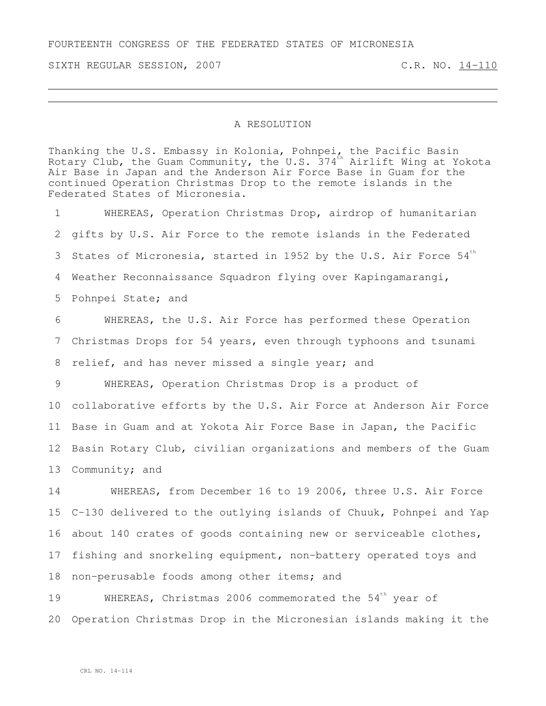FOURTEENTH CONGRESS OF THE FEDERATED STATES OF MICRONESIA

SIXTH REGULAR SESSION, 2007 C.R. NO. 14-110

## A RESOLUTION

Thanking the U.S. Embassy in Kolonia, Pohnpei, the Pacific Basin Rotary Club, the Guam Community, the U.S. 374<sup>th</sup> Airlift Wing at Yokota Air Base in Japan and the Anderson Air Force Base in Guam for the continued Operation Christmas Drop to the remote islands in the Federated States of Micronesia.

 WHEREAS, Operation Christmas Drop, airdrop of humanitarian gifts by U.S. Air Force to the remote islands in the Federated States of Micronesia, started in 1952 by the U.S. Air Force  $54<sup>th</sup>$ 3 Weather Reconnaissance Squadron flying over Kapingamarangi, Pohnpei State; and WHEREAS, the U.S. Air Force has performed these Operation

7 Christmas Drops for 54 years, even through typhoons and tsunami 8 relief, and has never missed a single year; and

 WHEREAS, Operation Christmas Drop is a product of collaborative efforts by the U.S. Air Force at Anderson Air Force Base in Guam and at Yokota Air Force Base in Japan, the Pacific Basin Rotary Club, civilian organizations and members of the Guam 13 Community; and

 WHEREAS, from December 16 to 19 2006, three U.S. Air Force C-130 delivered to the outlying islands of Chuuk, Pohnpei and Yap about 140 crates of goods containing new or serviceable clothes, fishing and snorkeling equipment, non-battery operated toys and non-perusable foods among other items; and

19 WHEREAS, Christmas 2006 commemorated the 54<sup>th</sup> year of 20 Operation Christmas Drop in the Micronesian islands making it the